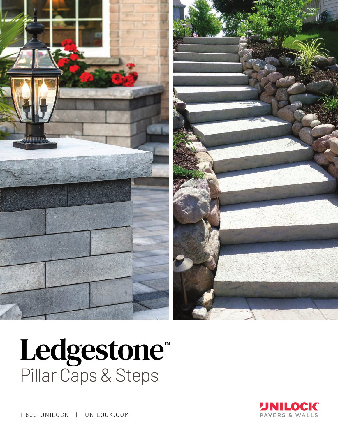

## Ledgestone™ Pillar Caps & Steps



1-800-UNILOCK | UNILOCK.COM